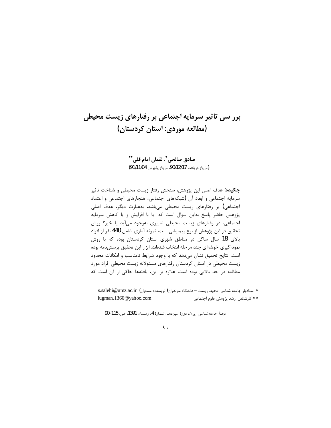# برر سی تاثیر سرمایه اجتماعی بر رفتارهای زیست محیطی (مطالعه موردی: استان کردستان)

صادق صالحی"، لقمان امام قلی"" (تاريخ دريافت 90/12/17، تاريخ پذيرش 91/11/04)

چکیده: هدف اصلی این پژوهش، سنجش رفتار زیست محیطی و شناخت تاثیر سرمایه اجتماعی و ابعاد آن (شبکههای اجتماعی، هنجارهای اجتماعی و اعتماد اجتماعی) بر رفتارهای زیست محیطی میباشد. بهعبارت دیگر، هدف اصلی یژوهش حاضر یاسخ بهاین سوال است که آیا با افزایش و یا کاهش سرمایه اجتماعی، در رفتارهای زیست محیطی تغییری بهوجود میآید یا خیر؟ روش تحقیق در این پژوهش از نوع پیمایشی است. نمونه آماری شامل 440 نفر از افراد بالای 18 سال ساکن در مناطق شهری استان کردستان بوده که با روش نمونه گیری خوشهای چند مرحله انتخاب شدهاند. ابزار این تحقیق پرسشiامه بوده است. نتایج تحقیق نشان میدهد که با وجود شرایط نامناسب و امکانات محدود زیست محیطی در استان کردستان رفتارهای مسئولانه زیست محیطی افراد مورد مطالعه در حد بالايي بوده است. علاوه بر اين، يافتهها حاكي از آن است كه

\* استادیار جامعه شناسی محیط زیست - دانشگاه مازندران(نویسنده مسئول) s.salehi@umz.ac.ir lugman.1360@yahoo.com \*\* كارشناس ارشد پژوهش علوم اجتماعي

مجلة جامعه شناسي ايران، دورة سيزدهم، شمارة 4، زمستان 1391. ص. 115-90

## ٩.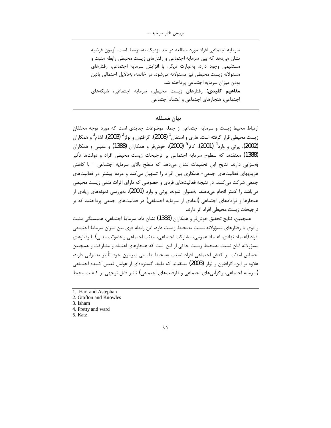سرمايه اجتماعي افراد مورد مطالعه در حد نزديک بهمتوسط است. آزمون فرضيه نشان میدهد که بین سرمایه اجتماعی و رفتارهای زیست محیطی رابطه مثبت و مستقیمی وجود دارد. بهعبارت دیگر، با افزایش سرمایه اجتماعی، رفتارهای مسئولانه زیست محیطی نیز مسئولانه می شود. در خاتمه، بهدلایل احتمالی پائین بودن میزان سرمایه اجتماعی پرداخته شد. **مفاهیم کلیدی**: رفتارهای زیست محیطی، سرمایه اجتماعی، شبکههای اجتماعي، هنجارهاي اجتماعي و اعتماد اجتماعي

## بيان مسئله

ارتباط محیط زیست و سرمایه اجتماعی از جمله موضوعات جدیدی است که مورد توجه محققان زيست محيطي قرار گرفته است. هاري و استفان<sup>1</sup> (2008)، گرافتون و نولز<sup>2</sup> (2003)، اشام<sup>3</sup> و همكاران (2002)، پرتی و وارد<sup>4</sup> (2001)، کاتز<sup>5</sup> (2000)، خوش فر و همکاران (1388) و عقیلی و همکاران (1388) معتقدند که سطوح سرمایه اجتماعی بر ترجیحات زیست محیطی افراد و دولتها تأثیر بەسزایی دارند. نتایج این تحقیقات نشان می۵هد که سطح بالای سرمایه اجتماعی - با کاهش هزینههای فعالیتهای جمعی- همکاری بین افراد را تسهیل میکند و مردم بیشتر در فعالیتهای جمعی شرکت می کنند. در نتیجه فعالیتهای فردی و خصوصی که دارای اثرات منفی زیست محیطی میباشد را کمتر انجام میدهند. بهعنوان نمونه، پرتی و وارد (2001)، بهبررسی نمونههای زیادی از هنجارها و قرادادهای اجتماعی (ابعادی از سرمایه اجتماعی) در فعالیتهای جمعی پرداختند که بر ترجیحات زیست محیطی افراد اثر دارند.

همچنین، نتایج تحقیق خوشفر و همکاران (1388) نشان داد، سرمایهٔ اجتماعی، همبستگی مثبت و قوی با رفتارهای مسؤولانه نسبت بهمحیط زیست دارد. این رابطه قوی بین میزان سرمایهٔ اجتماعی افراد (اعتماد نهادی، اعتماد عمومی، مشار کت اجتماعی، امنیّت اجتماعی و عضویّت مدنی) با رفتارهای مسؤولانه آنان نسبت بهمحیط زیست حاکی از این است که هنجارهای اعتماد و مشارکت و همچنین احساس امنیّت بر کنش اجتماعی افراد نسبت بهمحیط طبیعی پیرامون خود تأثیر بهسزایی دارند. علاوه بر این، گرافتون و نولز (2003) معتقدند که طیف گستردهای از عوامل تعیین کننده اجتماعی (سرمايه اجتماعي، واگرايي،هاي اجتماعي و ظرفيتهاي اجتماعي) تاثير قابل توجهي بر كيفيت محيط

5. Katz

<sup>1.</sup> Hari and Astephan

<sup>2.</sup> Grafton and Knowles

<sup>3.</sup> Isham

<sup>4.</sup> Pretty and ward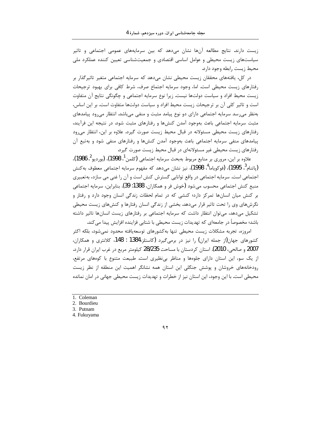زیست دارند. نتایج مطالعه آنها نشان میدهد که بین سرمایههای عمومی اجتماعی و تاثیر سیاستهای زیست محیطی و عوامل اساسی اقتصادی و جمعیتشناسی تعیین کننده عملکرد ملی محيط زيست رابطه وجود دارد.

در کل، یافتههای محققان زیست محیطی نشان میدهد که سرمایه اجتماعی متغیر تاثیرگذار بر رفتارهای زیست محیطی است. اما، وجود سرمایه اجتماع صرف، شرط کافی برای بهبود ترجیحات زیست محیط افراد و سیاست دولتها نیست. زیرا نوع سرمایه اجتماعی و چگونگی نتایج آن متفاوت است و تاثیر کلی آن بر ترجیحات زیست محیط افراد و سیاست دولتها متفاوت است. بر این اساس، بهنظر می رسد سرمایه اجتماعی دارای دو نوع پیامد مثبت و منفی می باشد. انتظار می رود پیامدهای مثبت سرمایه اجتماعی باعث بهوجود آمدن کنشها و رفتارهای مثبت شود. در نتیجه این فرآیند، رفتارهای زیست محیطی مسئولانه در قبال محیط زیست صورت گیرد. علاوه بر این، انتظار می<sub>د</sub>ود پیامدهای منفی سرمایه اجتماعی باعث بهوجود آمدن کنشها و رفتارهای منفی شود و بهتبع آن رفتارهای زیست محیطی غیر مسئولانهای در قبال محیط زیست صورت گیرد.

علاوه بر اين، مروري بر منابع مربوط بهبحث سرمايه اجتماعي (كلمن<sup>1</sup>، 1998)، (بورديو<sup>2</sup>، 1986)، (پاتنام ؒ، 1995)، (فوكوياما ؓ، 1998)، نيز نشان مىدهد كه مفهوم سرمايه اجتماعي معطوف بهكنش اجتماعی است. سرمایه اجتماعی در واقع توانایی گسترش کنش است و آن را غنی می سازد، به تعبیری منبع كنش اجتماعي محسوب مي شود (خوش فر و همكاران، 1388: 39). بنابراين، سرمايه اجتماعي بر کنش میان انسانها تمرکز دارد؛ کنشی که در تمام لحظات زندگی انسان وجود دارد و رفتار و نگرشهای وی را تحت تاثیر قرار میدهد. بخشی از زندگی انسان رفتارها و کنشهای زیست محیطی تشکیل میدهد، می توان انتظار داشت که سرمایه اجتماعی بر رفتارهای زیست انسانها تاثیر داشته باشد؛ مخصوصاً در جامعهای که تهدیدات زیست محیطی با شتابی فزاینده افزایش پیدا می کند.

امروزه، تجربه مشكلات زيست محيطى تنها بهكشورهاى توسعهيافته محدود نمىشود، بلكه اكثر کشورهای جهان(از جمله ایران) را نیز در برمیگیرد (کاستلز،1384 : 148، کلانتری و همکاران، 2007 و صالحي، 2010). استان كردستان با مساحت 28/235 كيلومتر مربع در غرب ايران قرار دارد. از یک سو، این استان دارای جلوهها و مناظر بی نظیری است. طبیعت متنوع با کوههای مرتفع، رودخانههای خروشان و پوشش جنگلی این استان همه نشانگر اهمیت این منطقه از نظر زیست محیطی است. با این وجود، این استان نیز از خطرات و تهدیدات زیست محیطی جهانی در امان نمانده

- 1. Coleman
- 2. Bourdieu
- 3. Putnam
- 4. Fukuyama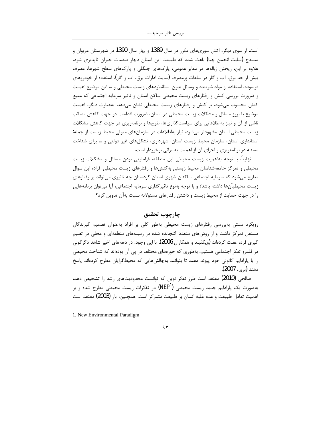است. از سوی دیگر، آتش سوزیهای مکرر در سال 1389 و بهار سال 1390 در شهرستان مریوان و سنندج (سایت انجمن چیا) باعث شده که طبیعت این استان دچار صدمات جبران ناپذیری شود، علاوه بر این، ریختن زبالهها در معابر عمومی، پارکهای جنگلی و پارکهای سطح شهرها، مصرف بیش از حد برق، آب و گاز در ساعات پرمصرف (سایت ادارات برق، آب و گاز)، استفاده از خودروهای فرسوده، استفاده از مواد شوینده و وسائل بدون استانداردهای زیست محیطی و … این موضوع اهمیت و ضرورت بررسی کنش و رفتارهای زیست محیطی ساکن استان و تاثیر سرمایه اجتماعی که منبع کنش محسوب میشود، بر کنش و رفتارهای زیست محیطی نشان میدهد. بهعبارت دیگر، اهمیت موضوع با بروز مسائل و مشکلات زیست محیطی در استان، ضرورت اقدامات در جهت کاهش مصائب ناشی از آن و نیاز بهاطلاعاتی برای سیاستگذاریها، طرحها و برنامهریزی در جهت کاهش مشکلات زیست محیطی استان مشهودتر می شود. نیاز بهاطلاعات در سازمانهای متولی محیط زیست از جمله: استانداری استان، سازمان محیط زیست استان، شهرداری، تشکلهای غیر دولتی و … برای شناخت مسئله در برنامهریزی و اجرای آن از اهمیت بهسزائی برخوردار است.

نهايتاً، با توجه بهاهميت زيست محيطي اين منطقه، فرامليتي بودن مسائل و مشكلات زيست محیطی و تمرکز جامعهشناسان محیط زیستی بهکنشها و رفتارهای زیست محیطی افراد، این سوال مطرح میشود که سرمایه اجتماعی ساکنان شهری استان کردستان چه تاثیری میتواند بر رفتارهای زيست محيطيآنها داشته باشد؟ و با توجه بەنوع تاثير گذاري سرمايه اجتماعي، آيا ميتوان برنامههايي را در جهت حمایت از محیط زیست و داشتن رفتارهای مسئولانه نسبت بهآن تدوین کرد؟

# چارچوپ تحقیق

رویکرد سنتی بهبررسی رفتارهای زیست محیطی بهطور کلی بر افراد بهعنوان تصمیم گیرندگان مستقل تمرکز داشت و از روشهای متعدد گنجانده شده در زمینههای منطقهای و محلی در تصیم گیری فرد، غفلت کردهاند (ویکفیلد و همکاران 2006). با این وجود، در دهههای اخیر شاهد دگرگونی در قلمرو تفکر اجتماعی هستیم، بهطوری که حوزههای مختلف در یی آن بودهاند که شناخت محیطی را با پارادایم کانونی خود پیوند دهند تا بتوانند بهچالشهایی که محیط گرایان مطرح کردهاند پاسخ دهند (بي، 2007).

صالحی (2010) معتقد است طرز تفکر نوین که توانست محدودیتهای رشد را تشخیص دهد، بهصورت یک پارادایم جدید زیست محیطی (NEP<sup>1)</sup> در تفکرات زیست محیطی مطرح شده و بر اهميت تعادل طبيعت و عدم غلبه انسان بر طبيعت متمركز است. همچنين، بار (2003) معتقد است

1. New Environmental Paradigm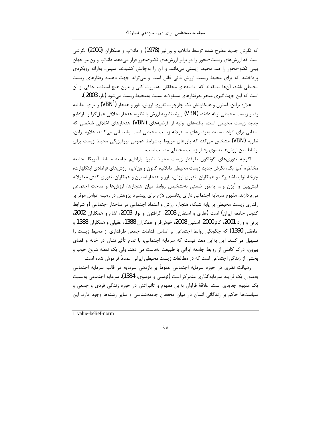که نگرش جدید مطرح شده توسط دانلاپ و ونلیر (1978) و دانلاپ و همکاران (2000) نگرشی است که ارزشهای زیست-محور را در برابر ارزشهای تکنو-محور قرار میدهد. دانلاپ و ون لیر جهان بینی تکنو-محور را ضد محیط زیستی میدانند و آن را بهچالش کشیدند. سپس، بهارائه رویکردی پرداختند که برای محیط زیست ارزش ذاتی قائل است و میتواند جهت دهنده رفتارهای زیست محیطی باشد. آنها معتقدند که یافتههای محققان بهصورت کلی و بدون هیچ استثناء حاکی از آن است که این جهت گیری منجر بهرفتارهای مسئولانه نسبت بهمحیط زیست می شود (بار، 2003 ).

علاوه براین، استرن و همکارانش یک چارچوب تئوری ارزش، باور و هنجار (VBN<sup>1)</sup> را برای مطالعه رفتار زيست محيطي ارائه دادند. (VBN) پيوند نظريه ارزش با نظريه هنجار اخلاقي عمل گرا و پارادايم جدید زیست محیطی است. یافتههای اولیه از فرضیههای (VBN) هنجارهای اخلاقی شخصی که مبنایی برای افراد مستعد بهرفتارهای مسئولانه زیست محیطی است پشتیبانی می کنند. علاوه براین، نظریه (VBN) مشخص میکند که باورهای مربوط بهشرایط عمومی بیوفیزیکی محیط زیست برای ارتباط بین ارزشها بهسوی رفتار زیست محیطی مناسب است.

اگرچه تئوریهای گوناگون طرفدار زیست محیط نظیر: پارادایم جامعه مسلط آمریکا، جامعه مخاطره آمیز بک، نگرش جدید زیست محیطی دانلاپ، کاتون و ونلایر، ارزشهای فرامادی اینگلهارت، چرخهٔ تولید اشنابرگ و همکاران، تئوری ارزش، باور و هنجار استرن و همکاران، تئوری کنش معقولانه فیش بین و آیزن و … بهطور ضمنی بهتشخیص روابط میان هنجارها، ارزشها و ساخت اجتماعی میپردازند، مفهوم سرمایه اجتماعی دارای پتانسیل لازم برای پیشبرد پژوهش در زمینه عوامل موثر بر رفتاری زیست محیطی بر پایه شبکه، هنجار، ارزش و اعتماد اجتماعی در ساختار اجتماعی (و شرایط کنونی جامعه ایران) است (هاری و استفان 2008، گرافتون و نولز 2003، اشام و همکاران 2002، يرتي و وارد 2001، كاتر2000، استيل 2008، خوشفر و همكاران 1388، عقيلي و همكاران 1388 و امامقلی 1390) که چگونگی روابط اجتماعی بر اساس اقدامات جمعی طرفداری از محیط زیست را تسهیل میکنند. این بهاین معنا نیست که سرمایه اجتماعی، با تمام تأثیراتشان در خانه و فضای بیرون، درک کاملی از روابط جامعه ایرانی با طبیعت بهدست می دهد. ولی یک نقطه شروع خوب و بخشی از زندگی اجتماعی است که در مطالعات زیست محیطی ایرانی عمدتاً فراموش شده است.

رهیافت نظری در حوزه سرمایه اجتماعی عموماً بر بازدهی سرمایه در قالب سرمایه اجتماعی بهعنوان یک فرایند سرمایهگذاری متمرکز است (توسلی و موسوی، 1384). سرمایه اجتماعی بهنسبت یک مفهوم جدیدی است. علاقهٔ فراوان بهاین مفهوم و تاثیراتش در حوزه زندگی فردی و جمعی و سیاستها حاکم بر زندگانی انسان در میان محققان جامعهشناسی و سایر رشتهها وجود دارد. این

1.value-belief-norm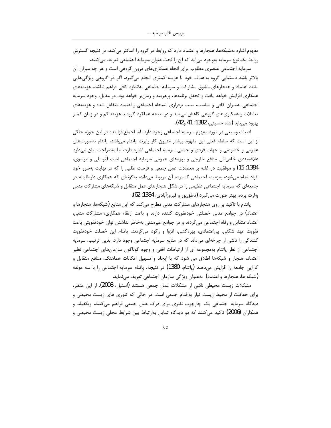مفهوم اشاره بهشبکهها، هنجارها و اعتماد دارد که روابط در گروه را آسانتر میکند، در نتیجه گسترش روابط یک نوع سرمایه بهوجود می آید که آن را تحت عنوان سرمایه اجتماعی تعریف می کنند.

سرمایه اجتماعی عنصری مطلوب برای انجام همکاریهای درون گروهی است و هر چه میزان آن بالاتر باشد دستیابی گروه بهاهداف خود با هزینه کمتری انجام میگیرد. اگر در گروهی ویژگیهایی مانند اعتماد و هنجارهای مشوق مشارکت و سرمایه اجتماعی بهاندازه کافی فراهم نباشد، هزینههای همکاری افزایش خواهد یافت و تحقق برنامهها، پرهزینه و زمانبر خواهد بود. در مقابل، وجود سرمایه اجتماعی بهمیزان کافی و مناسب، سبب برقراری انسجام اجتماعی و اعتماد متقابل شده و هزینههای تعاملات و همکاریهای گروهی کاهش مییابد و در نتیجه عملکرد گروه با هزینه کم و در زمان کمتر بهبود مي بابد (شاه حسيني، 1382: 41 و42).

ادبیات وسیعی در مورد مفهوم سرمایه اجتماعی وجود دارد، اما اجماع فزاینده در این حوزه حاکی از این است که سلطه فعلی این مفهوم بیشتر مدیون کار رابرت پاتنام میباشد. پاتنام بهصورتهای عمومی و خصوصی و جهات فردی و جمعی سرمایه اجتماعی اشاره دارد، اما بهصراحت بیان میدارد علاقهمندی خاصاش منافع خارجی و بهرههای عمومی سرمایه اجتماعی است (توسلی و موسوی، 1384: 15) و موفقیت در غلبه بر معضلات عمل جمعی و فرصت طلبی را که در نهایت بهضرر خود افراد تمام میشود، بهزمینه اجتماعی گسترده آن مربوط میداند، بهگونهای که همکاری داوطلبانه در جامعهای که سرمایه اجتماعی عظیمی را در شکل هنجارهای عمل متقابل و شبکههای مشارکت مدنی بهارث برده، بهتر صورت مي گيرد (ناطق پور و فيروزآبادي، 1384: 62).

پاتنام با تاکید بر روی هنجارهای مشارکت مدنی مطرح میکند که این منابع (شبکهها، هنجارها و اعتماد) در جوامع مدنی خصلتی خودتقویت کننده دارند و باعث ارتقاء همکاری، مشارکت مدنی، اعتماد متقابل و رفاه اجتماعی میگردند و در جوامع غیرمدنی بهخاطر نداشتن توان خودتقویتی باعث تقویت عهد شکنی، بیاعتمادی، بهرهکشی، انزوا و رکود میگردند. پاتنام این خصلت خودتقویت کنندگی را ناشی از چرخهای میداند که در منابع سرمایه اجتماعی وجود دارد. بدین ترتیب، سرمایه اجتماعی از نظر پاتنام بهمجموعه ای از ارتباطات افقی و وجوه گوناگون سازمانهای اجتماعی نظیر اعتماد، هنجار و شبکهها اطلاق می شود که با ایجاد و تسهیل امکانات هماهنگ، منافع متقابل و كارايي جامعه را افزايش مىدهند (پاتنام، 1380) در نتيجه، پاتنام سرمايه اجتماعي را با سه مولفه (شبكه ها، هنجارها و اعتماد) بهعنوان ویژگی سازمان اجتماعی تعریف مینماید.

مشكلات زيست محيطي ناشي از مشكلات عمل جمعي هستند (استيل، 2008). از اين منظر، برای حفاظت از محیط زیست نیاز بهاقدام جمعی است. در حالی که تئوری های زیست محیطی و دیدگاه سرمایه اجتماعی یک چارچوب نظری برای درک عمل جمعی فراهم میکنند، ویکفیلد و همکاران (2006) تاکید میکنند که دو دیدگاه تمایل بهارتباط بین شرایط محلی زیست محیطی و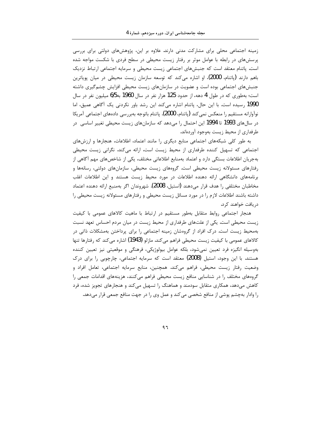زمینه اجتماعی محلی برای مشارکت مدنی دارند. علاوه بر این، پژوهشهای دولتی برای بررسی پرسشهای در رابطه با عوامل موثر بر رفتار زیست محیطی در سطح فردی با شکست مواجه شده است. پاتنام معتقد است که جنبشهای اجتماعی زیست محیطی و سرمایه اجتماعی ارتباط نزدیک باهم دارند (پاتنام، 2000)، او اشاره میکند که توسعه سازمان زیست محیطی در میان پویاترین جنبشهای اجتماعی بوده است و عضویت در سازمانهای زیست محیطی افزایش چشم گیری داشته است؛ بهطوری که در طول 4 دهه، از حدود 125 هزار نفر در سال 1960 به1/5 میلیون نفر در سال 1990 رسیده است. با این حال، پاتنام اشاره میکند این رشد باور نکردنی یک آگاهی عمیق، اما نوآوارانه مستقيم را منعكس نمي كند (ياتنام، 2000). پاتنام باتوجه بهبررسي دادههاي اجتماعي آمريكا در سالهای 1993 تا 1994 این احتمال را میدهد که سازمانهای زیست محیطی تغییر اساسی در طرفداری از محیط زیست بهوجود آوردهاند.

به طور کلی شبکههای اجتماعی منابع دیگری را مانند اعتماد، اطلاعات، هنجارها و ارزشهای اجتماعی که تسهیل کننده طرفداری از محیط زیست است، ارائه میکند. نگرانی زیست محیطی بهجریان اطلاعات بستگی دارد و اعتماد بهمنابع اطلاعاتی مختلف، یکی از شاخصهای مهم آگاهی از رفتارهای مسئولانه زیست محیطی است. گروههای زیست محیطی، سازمانهای دولتی، رسانهها و برنامههای دانشگاهی ارائه دهنده اطلاعات در مورد محیط زیست هستند و این اطلاعات اغلب مخاطبان مختلفی را هدف قرار میدهند (استیل، 2008). شهروندان اگر بهمنبع ارائه دهنده اعتماد داشته باشند اطلاعات لازم را در مورد مسائل زیست محیطی و رفتارهای مسئولانه زیست محیطی را دريافت خواهند كرد.

هنجار اجتماعی روابط متقابل بهطور مستقیم در ارتباط با ماهیت کالاهای عمومی با کیفیت زیست محیطی است. یکی از علتهای طرفداری از محیط زیست در میان مردم احساس تعهد نسبت بهمحیط زیست است. درک افراد از گروهشان زمینه اجتماعی را برای پرداختن بهمشکلات ذاتی در كالاهاي عمومي با كيفيت زيست محيطي فراهم مي كند. مازلو (1943) اشاره مي كند كه رفتارها تنها بەوسیله انگیزه فرد تعیین نمیشود، بلکه عوامل بیولوژیکی، فرهنگی و موقعیتی نیز تعیین کننده هستند. با این وجود، استیل (2008) معتقد است که سرمایه اجتماعی، چارچوبی را برای درک وضعیت رفتار زیست محیطی، فراهم میکند. همچنین، منابع سرمایه اجتماعی، تعامل افراد و گروههای مختلف را در شناسایی منافع زیست محیطی فراهم میکنند، هزینههای اقدامات جمعی را کاهش میدهد، همکاری متقابل سودمند و هماهنگ را تسهیل میکند و هنجارهای تجویز شده، فرد را وادار بهچشم پوشی از منافع شخصی می کند و عمل وی را در جهت منافع جمعی قرار میدهد.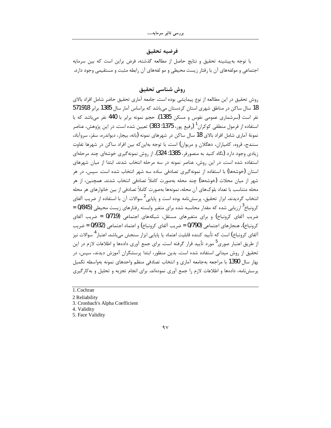# فرضيه تحقيق

با توجه بهپیشینه تحقیق و نتایج حاصل از مطالعه گذشته، فرض براین است که بین سرمایه اجتماعی و مولفههای آن با رفتار زیست محیطی و مو لفههای آن رابطه مثبت و مستقیمی وجود دارد.

# روش شناسي تحقيق

روش تحقيق در اين مطالعه از نوع پيمايشي بوده است. جامعه آماري تحقيق حاضر شامل افراد بالاي 18 سال ساکن در مناطق شهری استان کردستان میباشد که براساس آمار سال 1385 برابر 571918 نفر است (سرشماری عمومی نفوس و مسکن 1385). حجم نمونه برابر با 440 نفر می باشد که با استفاده از فرمول منطقی کوکران<sup>1</sup> (رفیع یور، 1375: 383) تعیین شده است. در این پژوهش، عناصر نمونهٔ آماری شامل افراد بالای 18 سال ساکن در شهرهای نمونه (بانه، بیجار، دیواندره، سقز، سروآباد، سنندج، قروه، کامیاران، دهگلان و مریوان) است. با توجه بهاین که بین افراد ساکن در شهرها تفاوت زیادی وجود دارد (نگاه کنید به منصورفر، 1385: 324)، از روش نمونهگیری خوشهای چند مرحلهای استفاده شده است. در این روش، عناصر نمونه در سه مرحله انتخاب شدند. ابتدا از میان شهرهای استان (خوشهها) با استفاده از نمونهگیری تصادفی ساده سه شهر انتخاب شده است. سپس، در هر شهر از میان محلات (خوشهها) چند محله بهصورت کاملاً تصادفی انتخاب شدند. همچنین، از هر محله متناسب با تعداد بلوکهای آن محله، نمونهها بهصورت کاملاً تصادفی از بین خانوارهای هر محله انتخاب گردیدند. ابزار تحقیق، پرسشنامه بوده است و پایایی<sup>2</sup> سوالات آن با استفاده از ضریب آلفای کرونباخ<sup>3</sup> ارزیابی شده که مقدار محاسبه شده برای متغیر وابسته رفتارهای زیست محیطی (9/845 = ضریب آلفای کرونباخ) و برای متغیرهای مستقل، شبکههای اجتماعی (0/719 = ضریب آلفای كرونباخ)، هنجارهاي اجتماعي (0/790 = ضريب آلفاي كرونباخ) و اعتماد اجتماعي (0/932 = ضريب آلفای کرونباخ) است که تأیید کننده قابلیت اعتماد یا پایایی ابزار سنجش می<sub>ا</sub>باشد. اعتبار <sup>4</sup> سوالات نیز از طریق اعتبار صوری<sup>5</sup> مورد تأیید قرار گرفته است. برای جمع آوری دادهها و اطلاعات لازم در این تحقیق از روش میدانی استفاده شده است. بدین منظور، ابتدا پرسشگران آموزش دیدند، سپس، در بهار سال 1390 با مراجعه بهجامعه آماري و انتخاب تصادفي منظم واحدهاي نمونه بهواسطه تكميل یرسش نامه، دادهها و اطلاعات لازم را جمع آوری نمودهاند. برای انجام تجزیه و تحلیل و به کارگیری

- 1. Cochran
- 2 Reliability

3. Cronbach's Alpha Coefficient

4. Validity

5. Face Validity

 $9<sub>V</sub>$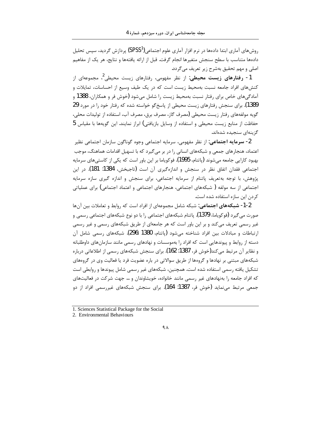روشهای آماری ابتدا دادهها در نرم افزار آماری علوم اجتماعی(SPSS<sup>1</sup>) پردازش گردید، سپس تحلیل دادهها متناسب با سطح سنجش متغيرها انجام گرفت. قبل از ارائه يافتهها و نتايج، هر يک از مفاهيم اصلي و مهم تحقيق بهشرح زير تعريف مي گردد.

1- **رفتارهای زیست محیطی**: از نظر مفهومی، رفتارهای زیست محیطی<sup>2</sup>، مجموعهای از کنشهای افراد جامعه نسبت بهمحیط زیست است که در یک طیف وسیع از احساسات، تمایلات و آمادگیهای خاص برای رفتار نسبت بهمحیط زیست را شامل می شود (خوش فر و همکاران، 1388 و 1389). برای سنجش رفتارهای زیست محیطی از پاسخ گو خواسته شده که رفتار خود را در مورد 29 گویه مولفههای رفتار زیست محیطی (مصرف گاز، مصرف برق، مصرف آب، استفاده از تولیدات محلی، حفاظت از منابع زیست محیطی و استفاده از وسایل بازیافتی) ابراز نمایند. این گویهها با مقیاس 5 گزینهای سنجیده شدهاند.

2- **سرمایه اجتماعی**: از نظر مفهومی، سرمایه اجتماعی وجوه گوناگون سازمان اجتماعی نظیر اعتماد، هنجارهای جمعی و شبکههای انسانی را در بر می گیرد که با تسهیل اقدامات هماهنگ، موجب بهبود کارایی جامعه میشوند (پاتنام، 1995). فوکویاما بر این باور است که یکی از کاستیهای سرمایه اجتماعی فقدان اتفاق نظر در سنجش و اندازهگیری آن است (تاجبخش، 1384: 181). در این یژوهش، با توجه بهتعریف پاتنام از سرمایه اجتماعی، برای سنجش و اندازه گیری سازه سرمایه اجتماعي از سه مولفه ( شبكههاي اجتماعي، هنجارهاي اجتماعي و اعتماد اجتماعي) براي عملياتي كردن اين سازه استفاده شده است.

1-2- **شبکههای اجتماعی**: شبکه شامل مجموعهای از افراد است که روابط و تعاملات بین آنها صورت مے گیرد (فوکوپاما، 1379). پاتنام شبکههای اجتماعی را با دو نوع شبکههای اجتماعی رسمی و غیر رسمی تعریف می کند و بر این باور است که هر جامعهای از طریق شبکههای رسمی و غیر رسمی ارتباطات و مبادلات بین افراد شناخته می شود (پاتنام، 1380 :296). شبکههای رسمی شامل آن دسته از روابط و پیوندهایی است که افراد را بهموسسات و نهادهای رسمی مانند سازمانهای داوطلبانه و نظایر آن مرتبط میکند(خوش فر، 1387: 162). برای سنجش شبکههای رسمی از اطلاعاتی درباره شبکههای مبتنی بر نهادها و گروهها از طریق سوالاتی در باره عضویت فرد یا فعالیت وی در گروههای تشکیل یافته رسمی استفاده شده است. همچنین، شبکههای غیر رسمی شامل پیوندها و روابطی است که افراد جامعه را بهنهادهای غیر رسمی مانند خانواده، خویشاوندان و … جهت شرکت در فعالیتهای جمعی مرتبط می:ماید (خوش فر، 1387: 164). برای سنجش شبکههای غیررسمی افراد از دو

<sup>1.</sup> Sciences Statistical Package for the Social

<sup>2.</sup> Environmental Behaviours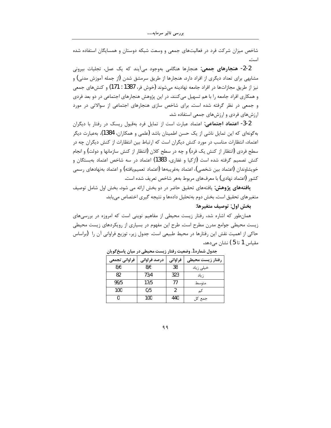شاخص میزان شرکت فرد در فعالیتهای جمعی و وسعت شبکه دوستان و همسایگان استفاده شده است.

2-2- هنجارهای جمعی: هنجارها هنگامی بهوجود می آیند که یک عمل، تجلیات بیرونی مشابهی برای تعداد دیگری از افراد دارد. هنجارها از طریق سرمشق شدن (از جمله آموزش مدنی) و نیز از طریق مجازاتها در افراد جامعه نهادینه میشوند (خوش فر، 1387 : 171) و کنشهای جمعی و همکاری افراد جامعه را با هم تسهیل میکنند. در این پژوهش هنجارهای اجتماعی در دو بعد فردی و جمعی در نظر گرفته شده است. برای شاخص سازی هنجارهای اجتماعی از سوالاتی در مورد ارزشهای فردی و ارزشهای جمعی استفاده شد.

3-2- اعتماد اجتماعی: اعتماد عبارت است از تمایل فرد بهقبول ریسک در رفتار با دیگران بهگونهای که این تمایل ناشی از یک حسن اطمینان باشد (علمی و همکاران، 1384)، بهعبارت دیگر اعتماد، انتظارات مناسب در مورد کنش دیگران است که ارتباط بین انتظارات از کنش دیگران چه در سطح فردی (انتظار از کنش یک فرد) و چه در سطح کلان (انتظار از کنش سازمانها و دولت) و انجام کنش تصمیم گرفته شده است (ازکیا و غفاری، 1383) اعتماد در سه شاخص اعتماد بهبستگان و خويشاوندان (اعتماد بين شخصي)، اعتماد بەغريبەها (اعتماد تعميميافته) و اعتماد بەنھادهاي رسمي كشور (اعتماد نهادي) با معرفهاي مربوط بههر شاخص تعريف شده است.

**یافتههای پژوهش:** یافتههای تحقیق حاضر در دو بخش ارائه می شود. بخش اول شامل توصیف متغیرهای تحقیق است. بخش دوم بهتحلیل دادهها و نتیجه گیری اختصاص می یابد.

### بخش اول: توصيف متغيرها:

همانطور که اشاره شد، رفتار زیست محیطی از مفاهیم نوینی است که امروزه در بررسیهای زیست محیطی جوامع مدرن مطرح است. طرح این مفهوم در بسیاری از رویکردهای زیست محیطی حاكي از اهميت نقش اين رفتارها در محيط طبيعي است. جدول زير، توزيع فراواني آن را (براساس مقياس 1 تا 5 ) نشان مىدهد.

| فراوانى تجمعى | درصد فراوانی | فراواني | رفتار زيست محيطى |
|---------------|--------------|---------|------------------|
| 8/6           | 8/6          | 38      | خیلی زیاد        |
| 82            | 73/4         | 323     | ز ياد            |
| 99/5          | 17/5         | 77      | متوسط            |
| 100           | 0/5          | 2       | کم               |
|               | 100          | 440     | جمع کل           |

جدول شماره 1. وضعیت رفتار زیست محیطی در میان پاسخ گویان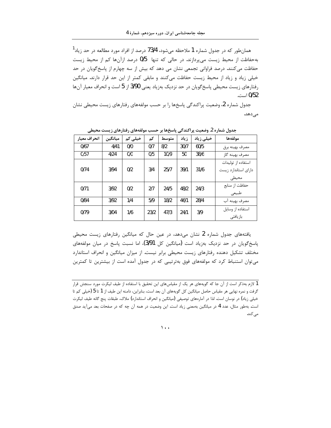همانطور که در جدول شماره 1 ملاحظه میشود، 73/4 درصد از افراد مورد مطالعه در حد زیاد<sup>1</sup> بهحفاظت از محیط زیست می پردازند. در حالی که تنها ۔0/5 درصد ازآنها کم از محیط زیست حفاظت می کنند. درصد فراوانی تجمعی نشان می دهد که بیش از سه چهارم از پاسخ گویان در حد خیلی زیاد و زیاد از محیط زیست حفاظت میکنند و مابقی کمتر از این حد قرار دارند. میانگین رفتارهای زیست محیطی پاسخ گویان در حد نزدیک بهزیاد یعنی 3/90 از 5 است و انحراف معیار آنها 0/52 است.

جدول شماره 2، وضعیت پراکندگی پاسخها را بر حسب مولفههای رفتارهای زیست محیطی نشان مى دهد.

| انحراف معيار | ميانگين | خیلی کم | کم   | متوسط | زياد | خیل <i>ی</i> زیاد | مولفهها                                             |
|--------------|---------|---------|------|-------|------|-------------------|-----------------------------------------------------|
| 0/67         | 4/41    | 0/0     | 0/7  | 8/2   | 30/7 | 60/5              | مصرف بهينه برق                                      |
| 0/57         | 4/24    | 0/0     | 0/5  | 10/9  | 50   | 38/6              | مصرف بهينه گاز                                      |
| 0/74         | 3/94    | 0/2     | 3/4  | 25/7  | 39/1 | 31/6              | استفاده از تولیدات<br>دارای استاندارد زیست<br>محيطى |
| 0/71         | 3/92    | 0/2     | 2/7  | 24/5  | 48/2 | 24/3              | حفاظت از منابع<br>طبيعي                             |
| 0/84         | 3/92    | 1/4     | 5/9  | 18/2  | 46/1 | 28/4              | مصرف بهينه آب                                       |
| 0/79         | 3/04    | 1/6     | 23/2 | 47/3  | 24/1 | 3/9               | استفاده از وسايل<br>بازيافتي                        |

جدول شماره 2. وضعیت پراکندگی پاسخها بر حسب مولفههای رفتارهای زیست محیطی

یافتههای جدول شماره 2 نشان میدهد، در عین حال که میانگین رفتارهای زیست محیطی پاسخگویان در حد نزدیک بهزیاد است (میانگین کل 3/91)، اما نسبت پاسخ در میان مولفههای مختلف تشکیل دهنده رفتارهای زیست محیطی برابر نیست. از میزان میانگین و انحراف استاندارد می توان استنباط کرد که مولفههای فوق بهترتیبی که در جدول آمده است از بیشترین تا کمترین

 $\mathcal{L}$ .

<sup>1</sup> لازم بهذكر است از آن جا كه گویههای هر یک از مقیاس های این تحقیق با استفاده از طیف لیکرت مورد سنجش قرار گرفت و نمره نهایی هر مقیاس حاصل میانگین کل گویههای آن بعد است، بنابراین، دامنه این طیف از 1 تا 5 (خیلی کم تا خیلی زیاد) در نوسان است. لذا در آمارههای توصیفی (میانگین و انحراف استاندارد) ملاک، طبقات پنج گانه طیف لیکرت است. بهطور مثال، عدد 4 در میانگین بهمعنی زیاد است. این وضعیت در همه آن چه که در صفحات بعد میآید صدق مى كند.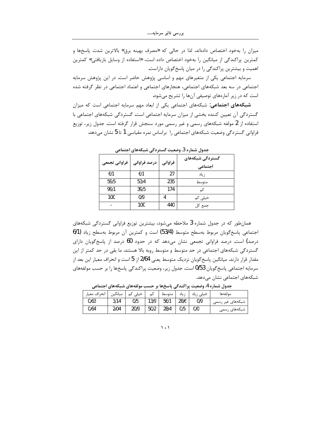میزان را بهخود اختصاص دادهاند. لذا در حالی که «مصرف بهینه برق» بالاترین شدت پاسخها و كمترين پراكندگي از ميانگين را بهخود اختصاص داده است، «استفاده از وسايل بازيافتي» كمترين اهمیت و بیشترین پراکندگی را در میان پاسخ گویان داراست.

سرمایه اجتماعی یکی از متغیرهای مهم و اساسی پژوهش حاضر است. در این پژوهش سرمایه اجتماعی در سه بعد شبکههای اجتماعی، هنجارهای اجتماعی و اعتماد اجتماعی در نظر گرفته شده است که در زیر آمارههای توصیفی آنها را تشریح میشود.

شبکههای اجتماعی: شبکههای اجتماعی یکی از ابعاد مهم سرمایه اجتماعی است که میزان گستردگی آن تعیین کننده بخشی از میزان سرمایه اجتماعی است. گستردگی شبکههای اجتماعی با استفاده از 2 مولفه شبکههای رسمی و غیر رسمی مورد سنجش قرار گرفته است. جدول زیر، توزیع فراوانی گستردگی وضعیت شبکههای اجتماعی را براساس نمره مقیاسی 1 تا 5 نشان میدهد.

| فراوانى تجمعى | درصد فراوانی | فراواني | گستردگی شبکههای<br>اجتماعى |  |  |  |  |  |
|---------------|--------------|---------|----------------------------|--|--|--|--|--|
| 6/1           | 6/1          | 27      | ; ىاد                      |  |  |  |  |  |
| 59/5          | 53/4         | 235     | متوسط                      |  |  |  |  |  |
| 99/1          | 39/5         | 174     | کہ                         |  |  |  |  |  |
| 100           | 0/9          | 4       | خیلی کم                    |  |  |  |  |  |
| -             | 100          | 440     | جمع کل                     |  |  |  |  |  |

حدول شماره 3. وضعیت گستردگی شیکههای احتماعه

همانطور که در جدول شماره 3 ملاحظه میشود، بیشترین توزیع فراوانی گستردگی شبکههای اجتماعی پاسخگویان مربوط بهسطح متوسط (53/4) است و کمترین آن مربوط بهسطح زیاد (1/6 درصد) است. درصد فراوانی تجمعی نشان میدهد که در حدود 60 درصد از پاسخگویان دارای گستردگی شبکههای اجتماعی در حد متوسط و متوسط روبه بالا هستند. ما بقی در حد کمتر از این مقدار قرار دارند. میانگین پاسخ گویان نزدیک متوسط یعنی 2/64 از 5 است و انحراف معیار این بعد از سرمايه اجتماعي پاسخ گويان 0/53 است. جدول زير، وضعيت پراكندگي پاسخها را بر حسب مولفههاي شبکههای اجتماعی نشان میدهد.

| انحراف معيار | ميانگين | خیلی کم | کم   | ا متوسط ا |      | خیلی زیاد   زیاد | مولفهها          |
|--------------|---------|---------|------|-----------|------|------------------|------------------|
| 0/63         | 3/14    | 0/5     | 13/9 | 56/1      | 28/6 | 0/9              | شبکههای غیر رسمی |
| 0/64         | 2/04    | 20/9    | 50/2 | 28/4      | 0/5  | 0/0              | شبکههای رسمی     |

جدول شماره 4. وضعیت پراکندگی پاسخها بر حسب مولفههای شبکههای اجتماعی

 $\langle \cdot \rangle$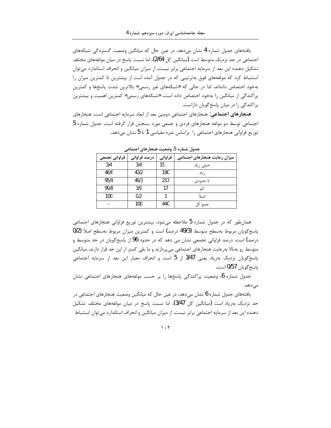یافتههای جدول شماره 4 نشان می۵هد، در عین حال که میانگین وضعیت گستردگی شبکههای اجتماعی در حد نزدیک متوسط است (میانگین کل 2/64)، اما نسبت پاسخ در میان مولفههای مختلف تشکیل دهنده این بعد از سرمایه اجتماعی برابر نیست. از میزان میانگین و انحراف استاندارد می توان استنباط کرد که مولفههای فوق بهترتیبی که در جدول آمده است از بیشترین تا کمترین میزان را بهخود اختصاص دادهاند. لذا در حالي كه «شبكههاي غير رسمي» بالاترين شدت پاسخها و كمترين پراکندگی از میانگین را بهخود اختصاص داده است، «شبکههای رسمی» کمترین اهمیت و بیشترین یراکندگی را در میان پاسخ گویان داراست.

هنجارهای اجتماعی: هنجارهای اجتماعی دومین بعد از ابعاد سرمایه اجتماعی است. هنجارهای اجتماعی توسط دو مولفه هنجارهای فردی و جمعی مورد سنجش قرار گرفته است. جدول شماره 5 توزیع فراوانی هنجارهای اجتماعی را براساس نمره مقیاسی 1 تا 5 نشان میدهد.

| فراوانى تجمعى | درصد فراوانی | فراواني | میزان رعایت هنجارهای اجتماعی |
|---------------|--------------|---------|------------------------------|
| 3/4           | 3/4          | 15      | خیلی زیاد                    |
| 46/6          | 43/2         | 190     | ز ياد                        |
| 95/9          | 49/3         | 217     | تا حدودی                     |
| 99/8          | 3/9          | 17      | کم                           |
| 100           | 0/2          |         | اصلاً                        |
|               | 100          | 440     | جمع کل                       |
|               |              |         |                              |

جدول شماره 5. وضعیت هنجارهای اجتماعی

همانطور که در جدول شماره 5 ملاحظه میشود، بیشترین توزیع فراوانی هنجارهای اجتماعی پاسخگویان مربوط بهسطح متوسط (49/3 درصد) است و کمترین میزان مربوط بهسطح اصلاً (0/2 درصد) است. درصد فراوانی تجمعی نشان می دهد که در حدود 96 از پاسخگویان در حد متوسط و متوسط رو بهبالا بهرعایت هنجارهای اجتماعی میپردازند و ما بقی کمتر از این حد قرار دارند. میانگین پاسخگویان نزدیک بهزیاد یعنی 3/47 از 5 است و انحراف معیار این بعد از سرمایه اجتماعی پاسخگويان 0/57 است.

جدول شماره 6، وضعیت پراکندگی پاسخها را بر حسب مولفههای هنجارهای اجتماعی نشان مىدھد.

یافتههای جدول شماره 6 نشان میدهد، در عین حال که میانگین وضعیت هنجارهای اجتماعی در حد نزدیک بهزیاد است (میانگین کل 3/47)، اما نسبت پاسخ در میان مولفههای مختلف تشکیل دهنده این بعد از سرمایه اجتماعی برابر نیست. از میزان میانگین و انحراف استاندارد می¤وان استنباط

 $\mathcal{N}$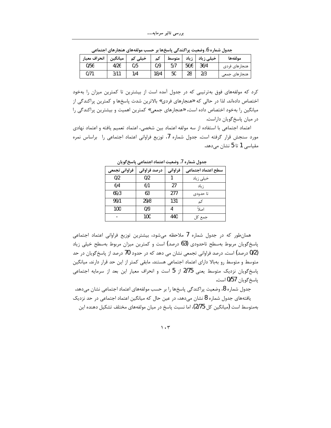| انحراف معيار | ميانگين | خيلى<br>نۍ | ىم   | متوسط | ; باد<br>┄ | خیلی زیاد | مولفهها       |
|--------------|---------|------------|------|-------|------------|-----------|---------------|
| 0/56         | 4/26    | 0/5        | 0/9  | 5/7   | 56/6       | 36/4      | هنجارهاى فردى |
| 0/71         | 3/11    | 1/4        | 18/4 | 50    | 28         | 2/3       | هنجارهای جمعی |

جدول شماره 6. وضعیت پراکندگی پاسخها بر حسب مولفههای هنجارهای اجتماعی

کرد که مولفههای فوق بهترتیبی که در جدول آمده است از بیشترین تا کمترین میزان را بهخود اختصاص دادهاند. لذا در حالي كه «هنجارهاي فردي» بالاترين شدت پاسخها و كمترين پراكندگي از میانگین را بهخود اختصاص داده است، «هنجارهای جمعی» کمترین اهمیت و بیشترین پراکندگی را در ميان پاسخ گويان داراست.

اعتماد اجتماعي با استفاده از سه مولفه اعتماد بين شخصي، اعتماد تعميم يافته و اعتماد نهادي مورد سنجش قرار گرفته است. جدول شماره 7، توزیع فراوانی اعتماد اجتماعی را براساس نمره مقیاسی 1 تا 5 نشان مے،دھد.

| . .           |              |         |                    |  |  |  |  |  |
|---------------|--------------|---------|--------------------|--|--|--|--|--|
| فراواني تجمعي | درصد فراوانی | فراواني | سطح اعتماد اجتماعى |  |  |  |  |  |
| 0/2           | 0/2          |         | خیلی زیاد          |  |  |  |  |  |
| 6/4           | 6/1          | 27      | ز ياد              |  |  |  |  |  |
| 69/3          | 63           | 277     | تا حدودي           |  |  |  |  |  |
| 99/1          | 29/8         | 131     | کم                 |  |  |  |  |  |
| 100           | 0/9          |         | اصلاً              |  |  |  |  |  |
|               | 100          | 440     | جمع کل             |  |  |  |  |  |

جدول شماره 7. وضعیت اعتماد اجتماعی پاسخ گویان

همانطور که در جدول شماره 7 ملاحظه میشود، بیشترین توزیع فراوانی اعتماد اجتماعی پاسخگویان مربوط بهسطح تاحدودی (63 درصد) است و کمترین میزان مربوط بهسطح خیلی زیاد (0/2 درصد) است. درصد فراوانی تجمعی نشان می دهد که در حدود 70 درصد از پاسخ گویان در حد متوسط و متوسط رو بهبالا دارای اعتماد اجتماعی هستند. مابقی کمتر از این حد قرار دارند. میانگین پاسخگویان نزدیک متوسط یعنی 2/75 از 5 است و انحراف معیار این بعد از سرمایه اجتماعی ياسخ گويان 0/57 است.

جدول شماره 8، وضعیت پراکندگی پاسخها را بر حسب مولفههای اعتماد اجتماعی نشان میدهد. یافتههای جدول شماره 8 نشان میدهد، در عین حال که میانگین اعتماد اجتماعی در حد نزدیک بهمتوسط است (میانگین کل 2/75)، اما نسبت پاسخ در میان مولفههای مختلف تشکیل دهنده این

 $\mathcal{N}\cdot\mathcal{V}$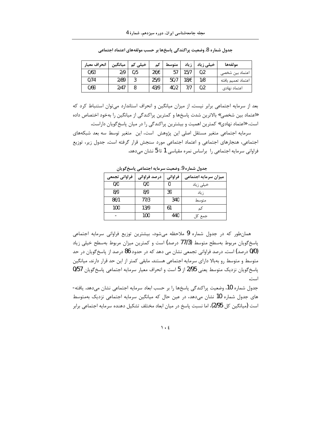| انحراف معيار | ميانگين | خیلی<br>ىم | ىم   | متوسط | زياد           | خیلی زیاد | مولفهها                      |
|--------------|---------|------------|------|-------|----------------|-----------|------------------------------|
| 0/63         | 2/9     | 0/5        | 26/6 |       | .5/7           | 0/2       | اعتماد بین ش <del>خ</del> صی |
| 0/74         | 2/89    | ર<br>J     | 25/9 | 50/7  | 18/6           | 1/8       | اعتماد تعميم يافته           |
| 0/69         | 2/47    |            | 43/9 | 40/2  | $\overline{ }$ | 0/2       | اعتماد نهادى                 |

جدول شماره 8. وضعیت پراکندگی پاسخها بر حسب مولفههای اعتماد اجتماعی

بعد از سرمایه اجتماعی برابر نیست. از میزان میانگین و انحراف استاندارد میتوان استنباط کرد که «اعتماد بین شخصی» بالاترین شدت پاسخها و کمترین پراکندگی از میانگین را بهخود اختصاص داده است، «اعتماد نهادي» كمترين اهميت و بيشترين پراكندگي را در ميان پاسخ گويان داراست.

سرمایه اجتماعی متغیر مستقل اصلی این پژوهش است، این متغیر توسط سه بعد شبکههای اجتماعی، هنجارهای اجتماعی و اعتماد اجتماعی مورد سنجش قرار گرفته است. جدول زیر، توزیع فراوانی سرمایه اجتماعی را براساس نمره مقیاسی 1 تا 5 نشان میدهد.

| ----          |              |         |                      |
|---------------|--------------|---------|----------------------|
| فراوانى تجمعى | درصد فراوانی | فراواني | میزان سرمایه اجتماعی |
| 0/0           | 0/0          |         | خیلی زیاد            |
| 8/9           | 8/9          | 39      | ز ياد                |
| 86/1          | 77/3         | 340     | متوسط                |
| 100           | 13/9         | 61      | كم                   |
|               | 100          | 440     | جمع کل               |

جدول شماره 9. وضعیت سرمایه اجتماعی پاسخ گویان

همانطور که در جدول شماره 9 ملاحظه میشود، بیشترین توزیع فراوانی سرمایه اجتماعی پاسخگویان مربوط بهسطح متوسط (77/3 درصد) است و کمترین میزان مربوط بهسطح خیلی زیاد (0/0 درصد) است. درصد فراوانی تجمعی نشان می دهد که در حدود 86 درصد از پاسخ گویان در حد متوسط و متوسط رو بهبالا دارای سرمایه اجتماعی هستند. مابقی کمتر از این حد قرار دارند. میانگین ياسخ گويان نزديک متوسط يعني 2/95 از 5 است و انحراف معيار سرمايه اجتماعي پاسخ گويان 0/57 است.

جدول شماره 10، وضعيت پراكندگي پاسخها را بر حسب ابعاد سرمايه اجتماعي نشان ميدهد. يافته-های جدول شماره 10 نشان میدهد، در عین حال که میانگین سرمایه اجتماعی نزدیک بهمتوسط است (میانگین کل 2/95)، اما نسبت پاسخ در میان ابعاد مختلف تشکیل دهنده سرمایه اجتماعی برابر

 $\mathcal{N} \cdot \mathcal{E}$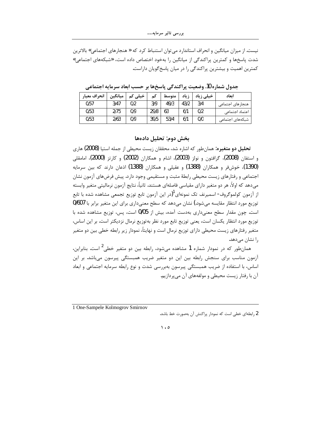نیست. از میزان میانگین و انحراف استاندارد می توان استنباط کرد که « هنجارهای اجتماعی» بالاترین شدت پاسخها و کمترین پراکندگی از میانگین را بهخود اختصاص داده است، «شبکههای اجتماعی» کمترین اهمیت و بیشترین پراکندگی را در میان پاسخ گویان داراست.

انحراف معيار ميانگين خیلی کم کم ا متوسط خیلی زیاد ابعاد ز یاد  $0/57$  $3/47$  $3/9$ 49/3 43/2  $0/2$  $3/4$ هنجارهاى اجتماعى  $0/53$  $\overline{2/75}$  $0/9$ 29/8 63  $6/1$  $\overline{0/2}$ اعتماد اجتماعى

 $53/4$ 

 $\overline{0/0}$ 

شبكههاى اجتماعي

 $6/1$ 

جدول شماره 10. وضعیت پراکندگی پاسخها بر حسب ابعاد سرمایه اجتماعی

## بخش دوم: تحليل دادهها

 $\overline{39/5}$ 

**تحلیل دو متغیره:** همانطور که اشاره شد، محققان زیست محیطی از جمله استیا (2008) هاری و استفان (2008)، گرافتون و نولز (2003)، اشام و همکاران (2002) و کارتز (2000)، امامقلی (1390)، خوش و و همکاران (1388) و عقیلی و همکاران (1388) اذعان دارند که بین سرمایه اجتماعی و رفتارهای زیست محیطی رابطهٔ مثبت و مستقیمی وجود دارد. پیش فرضهای آزمون نشان میدهد که اولاً، هر دو متغیر دارای مقیاسی فاصلهای هستند. ثانیاً، نتایج آزمون نرمالیتی متغیر وابسته از آزمون کولموگروف- اسمیرنف تک نمونهای<sup>1</sup>(در این آزمون تابع توزیع تجمعی مشاهده شده با تابع توزیع مورد انتظار مقایسه می شود.) نشان می دهد که سطح معنی داری برای این متغیر برابر با 0/607 است. چون مقدار سطح معنی داری بهدست آمده، بیش از 0/05 است، پس، توزیع مشاهده شده با توزیع مورد انتظار یکسان است، یعنی توزیع تابع مورد نظر بهتوزیع نرمال نزدیکتر است. بر این اساس، متغیر رفتارهای زیست محیطی دارای توزیع نرمال است و نهایتاً، نمودار زیر رابطه خطی بین دو متغیر را نشان می دهد.

همانطور که در نمودار شماره 1 مشاهده میشود، رابطه بین دو متغیر خطی<sup>2</sup> است. بنابراین، آزمون مناسب برای سنجش رابطه بین این دو متغیر ضریب همبستگی پیرسون می باشد. بر این اساس، با استفاده از ضریب همبستگی پیرسون بهبررسی شدت و نوع رابطه سرمایه اجتماعی و ابعاد آن با رفتار زیست محیطی و مولفههای آن می پردازیم.

1 One-Sampele Kolmogrov Smirnov

 $0/53$ 

 $2/63$ 

 $\overline{0/9}$ 

2 رابطهای خطی است که نمودار پراکنش آن بهصورت خط باشد.

 $\mathcal{L}$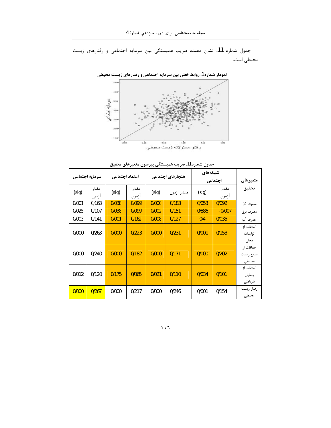جدول شماره 11، نشان دهنده ضریب همبستگی بین سرمایه اجتماعی و رفتارهای زیست محیطی است.

**نمودار شماره 1. روابط خطی بین سرمایه اجتماعی و رفتارهای زیست محیطی** 



|       | سرمایه اجتماعی |       | اعتماد اجتماعي |       | هنجارهای اجتماعی |       | شبكەهاى<br>اجتماعي | متغيرهاى                         |
|-------|----------------|-------|----------------|-------|------------------|-------|--------------------|----------------------------------|
| (sig) | مقدار<br>آزمون | (sig) | مقدار<br>أزمون | (sig) | مقدار آزمون      | (sig) | مقدار<br>آزمون     | تحقيق                            |
| 0/001 | 0/163          | 0/038 | 0/099          | 0/000 | 0/183            | 0/053 | 0/092              | مصرف گاز                         |
| 0/025 | 0/107          | 0/038 | 0/099          | 0/002 | 0/151            | 0/886 | $-0/007$           | مصرف برق                         |
| 0/003 | 0/141          | 0/001 | 0/162          | 0/008 | 0/127            | 0/4   | 0/035              | مصرف آب                          |
| 0/000 | 0/263          | 0/000 | 0/223          | 0/000 | 0/231            | 0/001 | 0/153              | استفاده از<br>توليدات<br>محلى    |
| 0/000 | 0/240          | 0/000 | 0/182          | 0/000 | 0/171            | 0/000 | 0/202              | حفاظت از<br>منابع زيست<br>محيطى  |
| 0/012 | 0/120          | 0/175 | 0/065          | 0/021 | 0/110            | 0/034 | 0/101              | استفاده از<br>وسايل<br>باز يافتى |
| 0/000 | 0/267          | 0/000 | 0/217          | 0/000 | 0/246            | 0/001 | 0/154              | رفتار زيست<br>محيطى              |

جدول شماره 11. ضريب همبستگى پيرسون متغيرهاى تحقيق

˺˹˿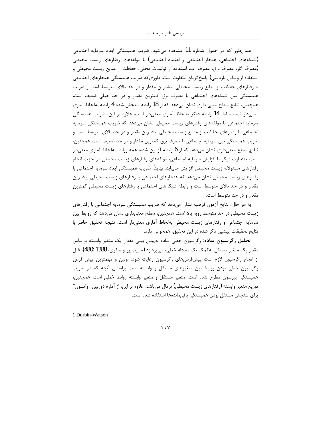همانطور که در جدول شماره 11 مشاهده میشود، ضریب همبستگی ابعاد سرمایه اجتماعی (شبکههای اجتماعی، هنجار اجتماعی و اعتماد اجتماعی) با مولفههای رفتارهای زیست محیطی (مصرف گاز، مصرف برق، مصرف آب، استفاده از تولیدات محلی، حفاظت از منابع زیست محیطی و استفاده از وسایل بازیافتی) پاسخگویان متفاوت است، طوری که ضریب همبستگی هنجارهای اجتماعی با رفتارهای حفاظت از منابع زیست محیطی بیشترین مقدار و در حد بالای متوسط است و ضریب همبستگی بین شبکههای اجتماعی با مصرف برق کمترین مقدار و در حد خیلی ضعیف است. همچنین، نتایج سطح معنی داری نشان می۵هد که از 18 رابطه سنجش شده 4 رابطه بهلحاظ آماری معنیدار نیست. اما، 14 رابطه دیگر بهلحاظ آماری معنیدار است. علاوه بر این، ضریب همبستگی سرمایه اجتماعی با مولفههای رفتارهای زیست محیطی نشان میدهد که ضریب همبستگی سرمایه اجتماعی با رفتارهای حفاظت از منابع زیست محیطی بیشترین مقدار و در حد بالای متوسط است و ضریب همبستگی بین سرمایه اجتماعی با مصرف برق کمترین مقدار و در حد ضعیف است. همچنین، نتایج سطح معنیداری نشان میدهد که از 6 رابطه آزمون شده، همه روابط بهلحاظ آماری معنیدار است. بهعبارت دیگر با افزایش سرمایه اجتماعی، مولفههای رفتارهای زیست محیطی در جهت انجام رفتارهای مسئولانه زیست محیطی افزایش مییابد. نهایتاً، ضریب همبستگی ابعاد سرمایه اجتماعی با رفتارهای زیست محیطی نشان میدهد که هنجارهای اجتماعی با رفتارهای زیست محیطی بیشترین مقدار و در حد بالای متوسط است و رابطه شبکههای اجتماعی با رفتارهای زیست محیطی کمترین مقدار و در حد متوسط است.

به هر حال، نتايج آزمون فرضيه نشان مىدهد كه ضريب همبستگى سرمايه اجتماعى با رفتارهاى زیست محیطی در حد متوسط روبه بالا است. همچنین، سطح معنیداری نشان میدهد که روابط بین سرمايه اجتماعي و رفتارهاي زيست محيطى بهلحاظ آماري معنىدار است. نتيجه تحقيق حاضر با نتايج تحقيقات پيشين ذكر شده در اين تحقيق، همخواني دارد.

تحلیل رگرسیون ساده: رگرسیون خطی ساده بهپیش بینی مقدار یک متغیر وابسته براساس مقدار يک متغير مستقل به کمک يک معادله خطي، مي پردازد (حبيب پور و صفري، 1388 :480). قبل از انجام رگرسیون لازم است پیشفرضهای رگرسیون رعایت شود. اولین و مهمترین پیش فرض رگرسیون خطی بودن روابط بین متغیرهای مستقل و وابسته است براساس آنچه که در ضریب همبستگی پیرسون مطرح شده است، متغیر مستقل و متغیر وابسته روابط خطی است. همچنین، توزيع متغير وابسته (رفتارهاي زيست محيطي) نرمال ميLباشد. علاوه بر اين، از آماره دوربين- واتسون ' برای سنجش مستقل بودن همبستگی باقیماندهها استفاده شده است.

1 Durbin-Watson

 $\mathcal{N}$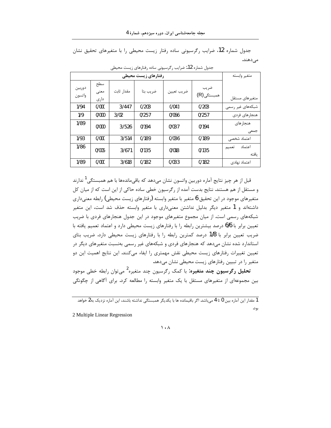جدول شماره 12، ضرایب رگرسیونی ساده رفتار زیست محیطی را با متغیرهای تحقیق نشان مىدھند.

|                  | متغير وابسته        |            |          |            |                     |                          |
|------------------|---------------------|------------|----------|------------|---------------------|--------------------------|
| دوربين<br>واتسون | سطح<br>معنى<br>دارى | مقدار ثابت | ضريب بتا | ضريب تعيين | ضريب<br>همبستگی (R) | متغيرهاى مستقل           |
| 1/94             | 0/000               | 3/447      | 0/203    | 0/041      | 0/203               | شبکههای غیر رسمی         |
| 1/9              | 0/000               | 3/02       | 0/257    | 0/066      | 0/257               | هنجارهای فردی            |
| 1/89             | 0/000               | 3/526      | 0/194    | 0/037      | 0/194               | هنجار های<br>جمعى        |
| 1/93             | 0/000               | 3/514      | 0/189    | 0/036      | 0/189               | اعتماد شخصی              |
| 1/86             | 0/005               | 3/671      | 0/135    | 0/018      | 0/135               | اعتماد<br>تعميم<br>ىافتە |
| 1/89             | 0/000               | 3/618      | 0/182    | 0/033      | 0/182               | اعتماد نهادى             |

جدول شماره 12. ضرایب رگرسیونی ساده رفتارهای زیست محیطی

قبل از هر چیز نتایج آماره دوربین واتسون نشان میدهد که باق<sub>ی</sub>ماندهها با هم همبستگ<sub>ه،</sub><sup>1</sup> ندارند و مستقل از هم هستند. نتایج بدست آمده از رگرسیون خطی ساده حاکی از این است که از میان کل متغیرهای موجود در این تحقیق 6 متغیر با متغیر وابسته (رفتارهای زیست محیطی) رابطه معنیداری داشتهاند و 1 متغیر دیگر بدلیل نداشتن معنیداری با متغیر وابسته حذف شد است، این متغیر شبکههای رسمی است. از میان مجموع متغیرهای موجود در این جدول هنجارهای فردی با ضریب تعیین برابر با 6/6 درصد بیشترین رابطه را با رفتارهای زیست محیطی دارد و اعتماد تعمیم یافته با ضریب تعیین برابر با 1/8 درصد کمترین رابطه را با رفتارهای زیست محیطی دارد. ضریب بتای استاندارد شده نشان میدهد که هنجارهای فردی و شبکههای غیر رسمی بهنسبت متغیرهای دیگر در تعیین تغییرات رفتارهای زیست محیطی نقش مهمتری را ایفاء میکنند. این نتایج اهمیت این دو متغیر را در تبیین رفتارهای زیست محیطی نشان میدهد.

تحلیل رگرسیون چند متغیره: با کمک رگرسیون چند متغیره<sup>2</sup> می¤وان رابطه خطی موجود بین مجموعهای از متغیرهای مستقل با یک متغیر وابسته را مطالعه کرد. برای آگاهی از چگونگی

1 مقدار این آماره بین 0 تا 4 میباشد. اگر باقیمانده ها با یکدیگر همبستگی نداشته باشند، این آماره نزدیک به2 خواهد بود.

2 Multiple Linear Regression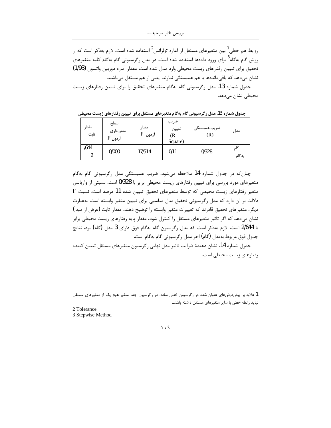روابط هم خطی<sup>1</sup> بین متغیرهای مستقل از آماره تولرانس<sup>2</sup> استفاده شده است. لازم بهذکر است که از روش گام بهگام<sup>3</sup> برای ورود دادهها استفاده شده است. در مدل رگرسیونی گام بهگام کلیه متغیرهای تحقيق براي تبيين رفتارهاي زيست محيطي وارد مدل شده است. مقدار آماره دوربين واتسون (1/93) نشان میدهد که باقی،ماندهها با هم همبستگی ندارند. یعنی از هم مستقل می،باشند.

جدول شماره 13، مدل رگرسیونی گام بهگام متغیرهای تحقیق را برای تبیین رفتارهای زیست محیطی نشان میدهد.

| مقدا<br>ثابت | سطح<br>معنىدارى<br>${\rm F}$ آزمون | مقدا,<br>آزمون F | ضريب<br>تعيين<br>(R<br>Square) | ضريب همبستگي<br>(R) | مدل          |
|--------------|------------------------------------|------------------|--------------------------------|---------------------|--------------|
| /644<br>ົ    | 0/000                              | 17/514           | 0/11                           | 0/328               | گاھ<br>ىەگام |

جدول شماره 13.مدل رگرسیونی گام بهگام متغیرهای مستقل برای تبیین رفتارهای زیست محیطی

چنان که در جدول شماره 14 ملاحظه میشود، ضریب همبستگی مدل رگرسیونی گام بهگام متغیرهای مورد بررسی برای تبیین رفتارهای زیست محیطی برابر با 0/328 است. نسبتی از واریانس  $\rm\,F$  متغیر رفتارهای زیست محیطی که توسط متغیرهای تحقیق تبیین شده 11 درصد است. نسبت دلالت بر آن دارد که مدل رگرسیونی تحقیق مدل مناسبی برای تبیین متغیر وابسته است. بهعبارت دیگر، متغیرهای تحقیق قادرند که تغییرات متغیر وابسته را توضیح دهند. مقدار ثابت (عرض از مبدا) نشان میدهد که اگر تاثیر متغیرهای مستقل را کنترل شود، مقدار پایه رفتارهای زیست محیطی برابر با 2/644 است. لازم بهذکر است که مدل رگرسیون گام بهگام فوق دارای 3 مدل (گام) بود. نتایج جدول فوق مربوط بهمدل (گام) اخر مدل رگرسیونی گام بهگام است.

جدول شماره 14، نشان دهندهٔ ضرایب تاثیر مدل نهایی رگرسیون متغیرهای مستقل تبیین کننده رفتارهای زیست محیطی است.

1 علاوه بر پیشفرضهای عنوان شده در رگرسیون خطی ساده، در رگرسیون چند متغیر هیچ یک از متغیرهای مستقل نباید رابطه خطی با سایر متغیرهای مستقل داشته باشند.

2 Tolerance

3 Stepwise Method

 $\mathcal{U} \cdot \mathcal{A}$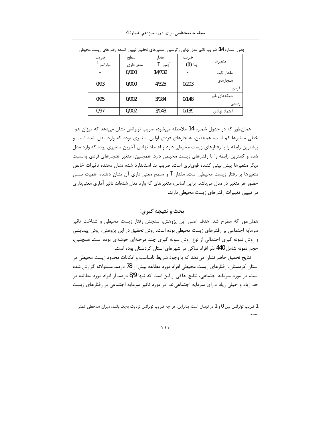| ضريب<br>تولرانس <sup>1</sup> | سطح<br>معنىداري | مقدار<br>آزمون T | ضريب<br>$(β)$ بتا | متغيرها             |
|------------------------------|-----------------|------------------|-------------------|---------------------|
|                              | 0/000           | 14/732           |                   | مقدار ثابت          |
| 0/93                         | 0/000           | 4/325            | 0/203             | هنجارهای<br>فردى    |
| 0/95                         | 0/002           | 3/184            | 0/148             | شبکههای غیر<br>رسمى |
| 0/97                         | 0/002           | 3/043            | 0/139             | اعتماد نهادى        |

جدول شماره 14: ضرايب تاثير مدل نهايي رگرسيون متغيرهاي تحقيق تبيين كننده رفتارهاي زيست محيطي

همانطور که در جدول شماره 14 ملاحظه می شود، ضریب تولرانس نشان می دهد که میزان هم-خطی متغیرها کم است. همچنین، هنجارهای فردی اولین متغیری بوده که وارد مدل شده است و بیشترین رابطه را با رفتارهای زیست محیطی دارد و اعتماد نهادی آخرین متغیری بوده که وارد مدل شده و کمترین رابطه را با رفتارهای زیست محیطی دارد. همچنین، متغیر هنجارهای فردی بهنسبت دیگر متغیرها پیش بینی کننده قویتری است. ضریب بتا استاندارد شده نشان دهنده تاثیرات خالص متغیرها بر رفتار زیست محیطی است. مقدار T و سطح معنی داری آن نشان دهنده اهمیت نسبی حضور هر متغیر در مدل میباشد. براین اساس، متغیرهای که وارد مدل شدهاند تاثیر آماری معنیداری در تبیین تغییرات رفتارهای زیست محیطی دارند.

## بحث و نتيجه گيري:

همانطور که مطرح شد، هدف اصلی این پژوهش، سنجش رفتار زیست محیطی و شناخت تاثیر سرمایه اجتماعی بر رفتارهای زیست محیطی بوده است. روش تحقیق در این پژوهش، روش پیمایشی و روش نمونه گیری احتمالی از نوع روش نمونه گیری چند مرحلهای خوشهای بوده است. همچنین، حجم نمونه شامل 440 نفر افراد ساکن در شهرهای استان کردستان بوده است.

نتایج تحقیق حاضر نشان میدهد که با وجود شرایط نامناسب و امکانات محدود زیست محیطی در استان کردستان، رفتارهای زیست محیطی افراد مورد مطالعه بیش از 78 درصد مسئولانه گزارش شده است. در مورد سرمایه اجتماعی، نتایج حاکی از این است که تنها 8/9 درصد از افراد مورد مطالعه در حد زیاد و خیلی زیاد دارای سرمایه اجتماعی|ند. در مورد تاثیر سرمایه اجتماعی بر رفتارهای زیست

1 ضریب تولرانس بین 0 و 1 در نوسان است. بنابراین، هر چه ضریب تولرانس نزدیک بهیک باشد، میزان همخطی کمتر است.

 $\mathcal{N}$ .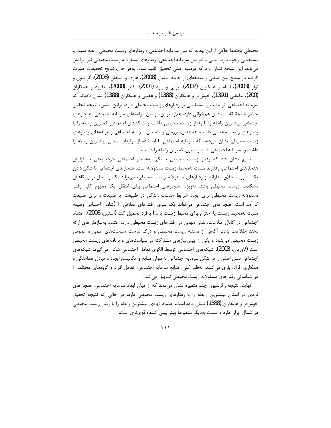محیطی یافتهها حاکی از این بودند که بین سرمایه اجتماعی و رفتارهای زیست محیطی رابطه مثبت و مستقیمی وجود دارد. یعنی با افزایش سرمایه اجتماعی، رفتارهای مسئولانه زیست محیطی نیز افزایش مي يابد. اين نتيجه نشان داد كه فرضيه اصلي تحقيق تائيد شود. بههر حال، نتايج تحقيقات صورت گرفته در سطح بین المللی و منطقهای از جمله استیل (2008)، هاری و استفان (2008)، گرافتون و نولز (2003)، اشام و همکاران (2002)، پرتی و وارد (2001)، کاتز (2000)، بنفورد و همکاران (200)، امامقلی (1391)، خوشفر و همکاران (1388) و عقیلی و همکاران (1388) نشان دادهاند که سرمایه اجتماعی اثر مثبت و مستقیمی بر رفتارهای زیست محیطی دارد، براین اساس، نتیجه تحقیق حاضر با تحقیقات پیشین همخوانی دارد. علاوه براین، از بین مولفههای سرمایه اجتماعی، هنجارهای اجتماعی بیشترین رابطه را با رفتار زیست محیطی داشت و شبکههای اجتماعی کمترین رابطه را با رفتارهای زیست محیطی داشت. همچنین، بررسی رابطه بین سرمایه اجتماعی و مولفههای رفتارهای زیست محیطی نشان میدهد که سرمایه اجتماعی با استفاده از تولیدات محلی بیشترین رابطه را داشت و سرمایه اجتماعی با مصرف برق کمترین رابطه را داشت.

نتایج نشان داد که رفتار زیست محیطی بستگی بههنجار اجتماعی دارد، یعنی با افزایش هنجارهای اجتماعی، رفتارها نسبت بهمحیط زیست مسئولانه است. هنجارهای اجتماعی با شکل دادن یک تصورت اخلاق مدارانه از رفتارهای مسئولانه زیست محیطی، میتواند یک راه حل برای کاهش مشکلات زیست محیطی باشد. بهویژه، هنجارهای اجتماعی برای انتقال یک مفهوم کلی رفتار مسئولانه زیست محیطی برای ایجاد شرایط مناسب زندگی در طبیعت، با طبیعت و برای طبیعت کارآمد است. هنجارهای اجتماعی میتواند یک سری رفتارهای عقلانی را (شامل احساس وظیفه نسبت بهمحيط زيست يا احترام براي محيط زيست يا ...) بهفرد تحميل كند (استيل، 2008). اعتماد اجتماعی در کانال اطلاعات، نقش مهمی در رفتارهای زیست محیطی دارد. اعتماد بهسازمانهای ارائه دهند اطلاعات باعث آگاهی از مسئله زیست محیطی و درک درست سیاستهای علمی و عمومی زیست محیطی می شود و یکی از پیش نیازهای مشارکت در سیاستهای و برنامههای زیست محیطی است (لاوریان، 2003). شبکههای اجتماعی توسط الگوی تعامل اجتماعی شکل میگیرد. شبکههای اجتماعی نقش اصلی را در شکل سرمایه اجتماعی بهعنوان منابع و مکانیسم ایجاد و تبادل هماهنگی و همکاری افراد، بازی میکنند. بهطور کلی، منابع سرمایه اجتماعی، تعامل افراد و گروههای مختلف را در شناسائی رفتارهای مسئولانه زیست محیطی تسهیل میکند.

نهایتاً، نتیجه رگرسیون چند متغیره نشان میدهد که از میان ابعاد سرمایه اجتماعی، هنجارهای فردی در استان بیشترین رابطه را با رفتارهای زیست محیطی دارد. در حالی که نتیجه تحقیق خوشفر و همکاران (1388) نشان داده است، اعتماد نهادی بیشترین رابطه را با رفتار زیست محیطی در شمال ایران دارد و نسبت بهدیگر متغیرها پیشبینی کننده قویتری است.

 $\rightarrow$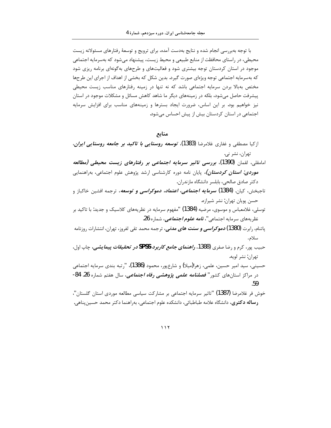با توجه بهبررسی انجام شده و نتایج بهدست آمده، برای ترویج و توسعهٔ رفتارهای مسئولانه زیست محیطی، در راستای محافظت از منابع طبیعی و محیط زیست، پیشنهاد میشود که بهسرمایه اجتماعی موجود در استان کردستان توجه بیشتری شود و فعالیتهای و طرحهای بهگونهای برنامه ریزی شود که بهسرمایه اجتماعی توجه ویژهای صورت گیرد. بدین شکل که بخشی از اهداف از اجرای این طرحها مختص بهبالا بردن سرمایه اجتماعی باشد که نه تنها در زمینه رفتارهای مناسب زیست محیطی پیشرفت حاصل می شود، بلکه در زمینههای دیگر ما شاهد کاهش مسائل و مشکلات موجود در استان نیز خواهیم بود. بر این اساس، ضرورت ایجاد بسترها و زمینههای مناسب برای افزایش سرمایه اجتماعی در استان کردستان بیش از پیش احساس می شود.

## منابع

- ازکیا مصطفی و غفاری غلامرضا (1383). *توسعه روستایی با تاکید بر جامعه روستایی ایران*. تهران، نشر ني.
- امامقلی، لقمان (1390)، بررسی ت*اثی*ر سرم*ایه اجتماعی ب*ر رفتار*های زیست محیطی (مطالعه* <mark>م*وردی: استان کردستان)،* پایان نامه دوره کارشناسی ارشد پژوهش علوم اجتماعی، بهراهنمایی</mark> دكتر صادق صالحي، بابلسر دانشگاه مازندران.
- تاجبخش، کیان. **(1384)** *سرمایه اجتماعی، اعتماد، دموکراسی و توسعه***،** ترجمه افشین خاکباز و حسن پويان تهران: نشر شيرازه.
- توسلی، غلامعباس و موسوی، مرضیه (1384) "مفهوم سرمایه در نظریههای کلاسیک و جدید: با تاکید بر نظريههاي سرمايه اجتماعي"، *نامه علوم اجتماعي*، شماره 26.
- پاتنام، <sub>د</sub>ابرت **(1380)** *دموکراسی و سنت های مدنی***،** ترجمه محمد تقی لفروز، تهران، انتشارات روزنامه سلام.
- حبيب پور، كرم و رضا صفري (1388، **ر***اهنماي جامع كاربرد SPSS در تحقيقات پيمايشي، چ*اپ اول، تهران: نشر لويه.
- حسینی، سید امیر حسین، علمی، زهرا(میلا) و شارعپور، محمود (1386)، "رتبه بندی سرمایه اجتماعی در مراکز استانهای کشور" *فصلنامه علمی پژوهشی رفاه اجتماعی*، سال هفتم شماره 26. 84-.59
- خوش فر غلامرضا (1387) "تاثير سرمايه اجتماعي بر مشاركت سياسي مطالعه موردى استان گلستان"، **رساله دکتری،** دانشگاه علامه طباطبائی، دانشکده علوم اجتماعی، بهراهنما دکتر محمد حسین پناهی.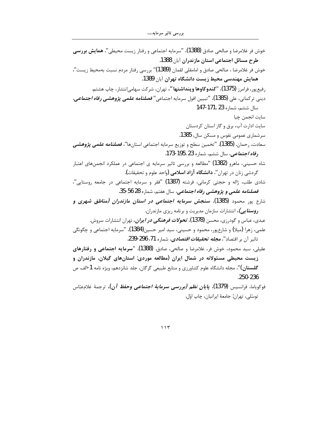| خوش فر غلامرضا و صالحی صادق (1388)، "سرمایه اجتماعی و رفتار زیست محیطی"، <b>همایش بررسی</b>           |
|-------------------------------------------------------------------------------------------------------|
| طرح مسائل اجتماعی استان مازندران آبان 1388.                                                           |
| خوش فر غلامرضا ، صالحی صادق و امامقلی لقمان (1389)" بررسی رفتار مردم نسبت بهمحیط زیست"،               |
| همایش مهندسی محیط زیست دانشگاه تهران آبان 1389.                                                       |
| رفیعپور، فرامرز <b>(1375)، "کندوکاوها وپنداشتها''،</b> تهران، شرکت سهامیانتشار، چاپ هشتم.             |
| دينى تركمانى، على (1385)، "تبيين افول سرمايه اجتماعى" <i>فصلنامه علمى پژ<b>وه</b>شى رفاه اجتماعى،</i> |
| سال ششم، شماره 171. 147-147                                                                           |
| سايت انجمن چيا                                                                                        |
| سایت ادارت آب، برق و گاز استان کردستان                                                                |
| سرشماری عمومی نفوس و مسکن سال، 1385.                                                                  |
| سعادت، رحمان. (1385). "تخمين سطح و توزيع سرمايه اجتماعي استانها"، <i>فصلنامه علمي پژوهشي</i>          |
| ر <i>فاه اجتماعی</i> ، سال ششم، شماره 23 .195-173.                                                    |
| شاه حسینی، ماهرو (1382) "مطالعه و بررسی تاثیر سرمایه ی اجتماعی در عملکرد انجمنهای اعتبار              |
| گردشی زنان در تهران"، <b>دانشگاه آزاد اسلامی (</b> واحد علوم و تحقیقات).                              |
| شادی طلب، ژاله و حجتی کرمانی، فرشته (1387) "فقر و سرمایه اجتماعی در جامعه روستایی"،                   |
| ف <i>صلنامه علمی و پژوهشی رفاه اجتماعی</i> ، سال هفتم، شماره 28 56-35.                                |
| شارع پور محمود (1385)، <b>سنجش سرم<i>ایه اجتماعی در استان مازندران (مناطق شهری و</i></b>              |
| <b>رو<i>ستایی)،</i></b> انتشارات سازمان مدیریت و برنامه ریزی مازندران.                                |
| عبدی، عباس و گودرزی، محسن <b>(1378)<i>، تحولات فرهنگی در ایران</i>،</b> تهران انتشارات سروش.          |
| علمی، زهرا (میلا) و شارعپور، محمود و حسینی، سید امیر حسین(1384)، "سرمایه اجتماعی و چگونگی             |
| تاثير آن بر اقتصاد"، <i>مجله تحقيقات اقتصادي</i> ، شماره 71، 296-239.                                 |
| عقیلی، سید محمود، خوش فر، غلامرضا و صالحی، صادق. (1388). " <b>سرمایه اجتماعی و رفتارهای</b>           |
| زیست محیطی مسئولانه در شمال ایران (مطالعه موردی: استانهای گیلان، مازندران و                           |
| <b>گلستان)"</b> ، مجله دانشگاه علوم کشاورزی و منابع طبیعی گرگان، جلد شانزدهم، ویژه نامه 1-الف. ص      |
| .250-236                                                                                              |
| فوكوياما، فرانسيس (1379) <i>. پ<b>ايان نظم (بررسي سرماية اجتماعي وحفظ آن)</b>،</i> ترجمهٔ غلامءبّاس   |
| توسلي، تهران: جامعهٔ ايرانيان، چاپ اوّل.                                                              |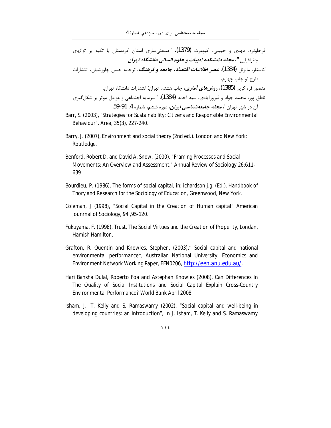- قرخلونره، مهدی و حبیبی، کیومرث (1379)، "صنعتیسازی استان کردستان با تکیه بر توانهای جغرافيايي"، مجله دانشكده ادبيات و علوم انساني دانشگاه تهران، كاستلز، مانوئل (1384**).** *عصر اطلاعات اقتصاد، جامعه و فرهنگ***،** ترجمه حسن چاووشیان، انتشارات طرح نو چاپ چها, م. منصور فر، کریم **(1385)، رو***شهای آماری***،** چاپ هشتم. تهران: انتشارات دانشگاه تهران. ناطق پور، محمد جواد و فیروزآبادی، سید احمد (1384)، "سرمایه اجتماعی و عوامل موثر بر شکل گیری آن در شهر تهران"، *مجله جامعهشناسی ایران*، دوره ششم، شماره 4، 91-59.
- Barr, S. (2003), "Strategies for Sustainability: Citizens and Responsible Environmental Behaviour". Area, 35(3), 227-240.
- Barry, J. (2007), Environment and social theory (2nd ed.). London and New York: Routledge.
- Benford, Robert D. and David A. Snow. (2000), "Framing Processes and Social Movements: An Overview and Assessment." Annual Review of Sociology 26:611-639.
- Bourdieu, P. (1986), The forms of social capital, in: ichardson, j.g. (Ed.), Handbook of Thory and Research for the Sociology of Education, Greenwood, New York.
- Coleman, J (1998), "Social Capital in the Creation of Human capital" American jounrnal of Sociology, 94, 95-120.
- Fukuyama, F. (1998), Trust, The Social Virtues and the Creation of Properity, Londan, Hamish Hamilton.
- Grafton, R. Quentin and Knowles, Stephen, (2003)," Social capital and national environmental performance", Australian National University, Economics and Environment Network Working Paper, EEN0206, http://een.anu.edu.au/.
- Hari Bansha Dulal, Roberto Foa and Astephan Knowles (2008), Can Differences In The Quality of Social Institutions and Social Capital Explain Cross-Country Environmental Performance? World Bank April 2008
- Isham, J., T. Kelly and S. Ramaswamy (2002), "Social capital and well-being in developing countries: an introduction", in J. Isham, T. Kelly and S. Ramaswamy

 $\bigwedge$